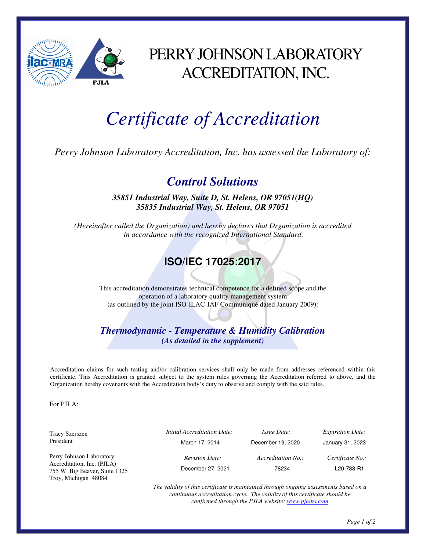

## PERRY JOHNSON LABORATORY ACCREDITATION, INC.

## *Certificate of Accreditation*

*Perry Johnson Laboratory Accreditation, Inc. has assessed the Laboratory of:* 

## *Control Solutions*

*35851 Industrial Way, Suite D, St. Helens, OR 97051(HQ) 35835 Industrial Way, St. Helens, OR 97051* 

*(Hereinafter called the Organization) and hereby declares that Organization is accredited in accordance with the recognized International Standard:* 

## **ISO/IEC 17025:2017**

This accreditation demonstrates technical competence for a defined scope and the operation of a laboratory quality management system (as outlined by the joint ISO-ILAC-IAF Communiqué dated January 2009):

*Thermodynamic - Temperature & Humidity Calibration (As detailed in the supplement)* 

Accreditation claims for such testing and/or calibration services shall only be made from addresses referenced within this certificate. This Accreditation is granted subject to the system rules governing the Accreditation referred to above, and the Organization hereby covenants with the Accreditation body's duty to observe and comply with the said rules.

For  $PII.A$ .

| Tracy Szerszen                                              | <i>Initial Accreditation Date:</i> | <i>Issue Date:</i> | <i>Expiration Date:</i> |
|-------------------------------------------------------------|------------------------------------|--------------------|-------------------------|
| President                                                   | March 17, 2014                     | December 19, 2020  | January 31, 2023        |
| Perry Johnson Laboratory                                    | <b>Revision Date:</b>              | Accreditation No.: | Certificate No.:        |
| Accreditation, Inc. (PJLA)<br>755 W. Big Beaver, Suite 1325 | December 27, 2021                  | 78234              | L20-783-R1              |
| Troy, Michigan 48084                                        |                                    |                    |                         |

*The validity of this certificate is maintained through ongoing assessments based on a continuous accreditation cycle. The validity of this certificate should be confirmed through the PJLA website: www.pjlabs.com*